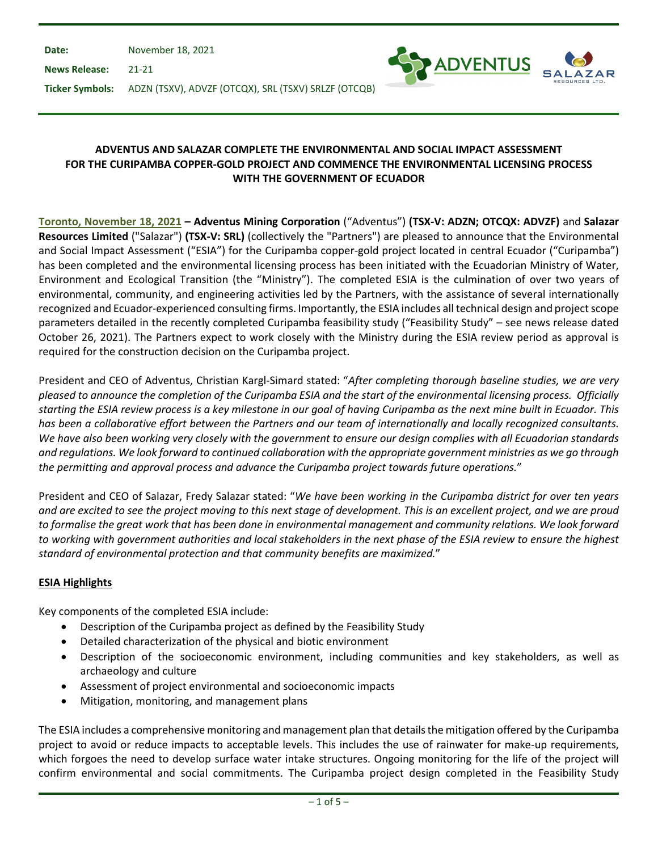**Date:** November 18, 2021

**News Release:** 21-21



**Ticker Symbols:** ADZN (TSXV), ADVZF (OTCQX), SRL (TSXV) SRLZF (OTCQB)

# **ADVENTUS AND SALAZAR COMPLETE THE ENVIRONMENTAL AND SOCIAL IMPACT ASSESSMENT FOR THE CURIPAMBA COPPER-GOLD PROJECT AND COMMENCE THE ENVIRONMENTAL LICENSING PROCESS WITH THE GOVERNMENT OF ECUADOR**

**Toronto, November 18, 2021 – Adventus Mining Corporation** ("Adventus") **(TSX-V: ADZN; OTCQX: ADVZF)** and **Salazar Resources Limited** ("Salazar") **(TSX-V: SRL)** (collectively the "Partners") are pleased to announce that the Environmental and Social Impact Assessment ("ESIA") for the Curipamba copper-gold project located in central Ecuador ("Curipamba") has been completed and the environmental licensing process has been initiated with the Ecuadorian Ministry of Water, Environment and Ecological Transition (the "Ministry"). The completed ESIA is the culmination of over two years of environmental, community, and engineering activities led by the Partners, with the assistance of several internationally recognized and Ecuador-experienced consulting firms. Importantly, the ESIA includes all technical design and project scope parameters detailed in the recently completed Curipamba feasibility study ("Feasibility Study" – see news release dated October 26, 2021). The Partners expect to work closely with the Ministry during the ESIA review period as approval is required for the construction decision on the Curipamba project.

President and CEO of Adventus, Christian Kargl-Simard stated: "*After completing thorough baseline studies, we are very pleased to announce the completion of the Curipamba ESIA and the start of the environmental licensing process. Officially starting the ESIA review process is a key milestone in our goal of having Curipamba as the next mine built in Ecuador. This has been a collaborative effort between the Partners and our team of internationally and locally recognized consultants. We have also been working very closely with the government to ensure our design complies with all Ecuadorian standards and regulations. We look forward to continued collaboration with the appropriate government ministries as we go through the permitting and approval process and advance the Curipamba project towards future operations.*"

President and CEO of Salazar, Fredy Salazar stated: "*We have been working in the Curipamba district for over ten years and are excited to see the project moving to this next stage of development. This is an excellent project, and we are proud*  to formalise the great work that has been done in environmental management and community relations. We look forward *to working with government authorities and local stakeholders in the next phase of the ESIA review to ensure the highest standard of environmental protection and that community benefits are maximized.*"

# **ESIA Highlights**

Key components of the completed ESIA include:

- Description of the Curipamba project as defined by the Feasibility Study
- Detailed characterization of the physical and biotic environment
- Description of the socioeconomic environment, including communities and key stakeholders, as well as archaeology and culture
- Assessment of project environmental and socioeconomic impacts
- Mitigation, monitoring, and management plans

The ESIA includes a comprehensive monitoring and management plan that details the mitigation offered by the Curipamba project to avoid or reduce impacts to acceptable levels. This includes the use of rainwater for make-up requirements, which forgoes the need to develop surface water intake structures. Ongoing monitoring for the life of the project will confirm environmental and social commitments. The Curipamba project design completed in the Feasibility Study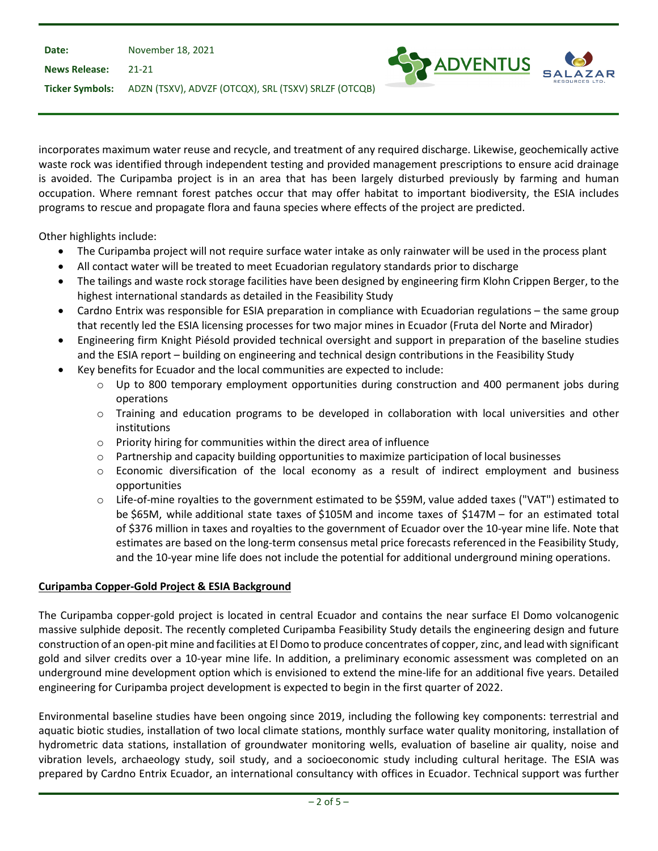| Date:                | November 18, 2021                                    |                     |
|----------------------|------------------------------------------------------|---------------------|
| <b>News Release:</b> | - 21-21                                              | <b>SEX ADVENTUS</b> |
| Ticker Symbols:      | ADZN (TSXV), ADVZF (OTCQX), SRL (TSXV) SRLZF (OTCQB) |                     |

incorporates maximum water reuse and recycle, and treatment of any required discharge. Likewise, geochemically active waste rock was identified through independent testing and provided management prescriptions to ensure acid drainage is avoided. The Curipamba project is in an area that has been largely disturbed previously by farming and human occupation. Where remnant forest patches occur that may offer habitat to important biodiversity, the ESIA includes programs to rescue and propagate flora and fauna species where effects of the project are predicted.

Other highlights include:

- The Curipamba project will not require surface water intake as only rainwater will be used in the process plant
- All contact water will be treated to meet Ecuadorian regulatory standards prior to discharge
- The tailings and waste rock storage facilities have been designed by engineering firm Klohn Crippen Berger, to the highest international standards as detailed in the Feasibility Study
- Cardno Entrix was responsible for ESIA preparation in compliance with Ecuadorian regulations the same group that recently led the ESIA licensing processes for two major mines in Ecuador (Fruta del Norte and Mirador)
- Engineering firm Knight Piésold provided technical oversight and support in preparation of the baseline studies and the ESIA report – building on engineering and technical design contributions in the Feasibility Study
- Key benefits for Ecuador and the local communities are expected to include:
	- o Up to 800 temporary employment opportunities during construction and 400 permanent jobs during operations
	- o Training and education programs to be developed in collaboration with local universities and other institutions
	- o Priority hiring for communities within the direct area of influence
	- $\circ$  Partnership and capacity building opportunities to maximize participation of local businesses
	- $\circ$  Economic diversification of the local economy as a result of indirect employment and business opportunities
	- o Life-of-mine royalties to the government estimated to be \$59M, value added taxes ("VAT") estimated to be \$65M, while additional state taxes of \$105M and income taxes of \$147M – for an estimated total of \$376 million in taxes and royalties to the government of Ecuador over the 10-year mine life. Note that estimates are based on the long-term consensus metal price forecasts referenced in the Feasibility Study, and the 10-year mine life does not include the potential for additional underground mining operations.

# **Curipamba Copper-Gold Project & ESIA Background**

The Curipamba copper-gold project is located in central Ecuador and contains the near surface El Domo volcanogenic massive sulphide deposit. The recently completed Curipamba Feasibility Study details the engineering design and future construction of an open-pit mine and facilities at El Domo to produce concentrates of copper, zinc, and lead with significant gold and silver credits over a 10-year mine life. In addition, a preliminary economic assessment was completed on an underground mine development option which is envisioned to extend the mine-life for an additional five years. Detailed engineering for Curipamba project development is expected to begin in the first quarter of 2022.

Environmental baseline studies have been ongoing since 2019, including the following key components: terrestrial and aquatic biotic studies, installation of two local climate stations, monthly surface water quality monitoring, installation of hydrometric data stations, installation of groundwater monitoring wells, evaluation of baseline air quality, noise and vibration levels, archaeology study, soil study, and a socioeconomic study including cultural heritage. The ESIA was prepared by Cardno Entrix Ecuador, an international consultancy with offices in Ecuador. Technical support was further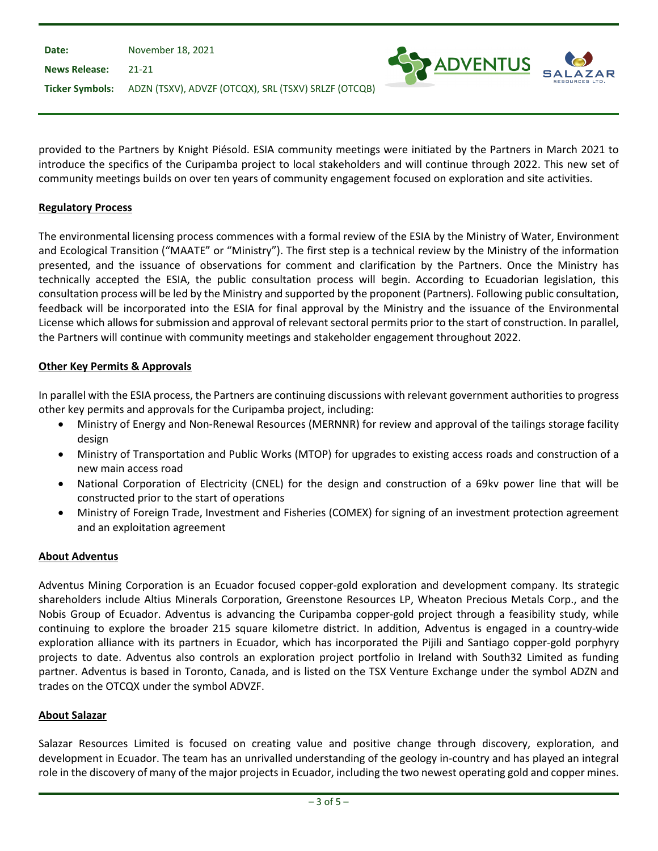| Date:                | November 18, 2021                                                    |  |
|----------------------|----------------------------------------------------------------------|--|
| <b>News Release:</b> | $21-21$                                                              |  |
|                      | Ticker Symbols: ADZN (TSXV), ADVZF (OTCQX), SRL (TSXV) SRLZF (OTCQB) |  |

provided to the Partners by Knight Piésold. ESIA community meetings were initiated by the Partners in March 2021 to introduce the specifics of the Curipamba project to local stakeholders and will continue through 2022. This new set of community meetings builds on over ten years of community engagement focused on exploration and site activities.

ADVENTUS

## **Regulatory Process**

The environmental licensing process commences with a formal review of the ESIA by the Ministry of Water, Environment and Ecological Transition ("MAATE" or "Ministry"). The first step is a technical review by the Ministry of the information presented, and the issuance of observations for comment and clarification by the Partners. Once the Ministry has technically accepted the ESIA, the public consultation process will begin. According to Ecuadorian legislation, this consultation process will be led by the Ministry and supported by the proponent (Partners). Following public consultation, feedback will be incorporated into the ESIA for final approval by the Ministry and the issuance of the Environmental License which allows forsubmission and approval of relevant sectoral permits prior to the start of construction. In parallel, the Partners will continue with community meetings and stakeholder engagement throughout 2022.

### **Other Key Permits & Approvals**

In parallel with the ESIA process, the Partners are continuing discussions with relevant government authorities to progress other key permits and approvals for the Curipamba project, including:

- Ministry of Energy and Non-Renewal Resources (MERNNR) for review and approval of the tailings storage facility design
- Ministry of Transportation and Public Works (MTOP) for upgrades to existing access roads and construction of a new main access road
- National Corporation of Electricity (CNEL) for the design and construction of a 69kv power line that will be constructed prior to the start of operations
- Ministry of Foreign Trade, Investment and Fisheries (COMEX) for signing of an investment protection agreement and an exploitation agreement

#### **About Adventus**

Adventus Mining Corporation is an Ecuador focused copper-gold exploration and development company. Its strategic shareholders include Altius Minerals Corporation, Greenstone Resources LP, Wheaton Precious Metals Corp., and the Nobis Group of Ecuador. Adventus is advancing the Curipamba copper-gold project through a feasibility study, while continuing to explore the broader 215 square kilometre district. In addition, Adventus is engaged in a country-wide exploration alliance with its partners in Ecuador, which has incorporated the Pijili and Santiago copper-gold porphyry projects to date. Adventus also controls an exploration project portfolio in Ireland with South32 Limited as funding partner. Adventus is based in Toronto, Canada, and is listed on the TSX Venture Exchange under the symbol ADZN and trades on the OTCQX under the symbol ADVZF.

#### **About Salazar**

Salazar Resources Limited is focused on creating value and positive change through discovery, exploration, and development in Ecuador. The team has an unrivalled understanding of the geology in-country and has played an integral role in the discovery of many of the major projects in Ecuador, including the two newest operating gold and copper mines.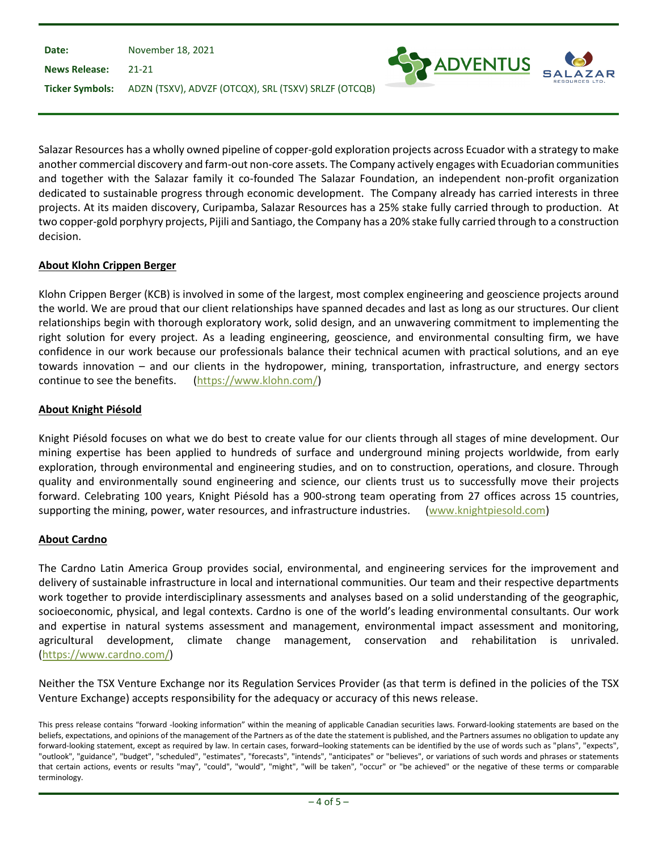| Date:                | November 18, 2021                                                    |                     |
|----------------------|----------------------------------------------------------------------|---------------------|
| <b>News Release:</b> | - 21-21                                                              | <b>SEX ADVENTUS</b> |
|                      | Ticker Symbols: ADZN (TSXV), ADVZF (OTCQX), SRL (TSXV) SRLZF (OTCQB) |                     |

Salazar Resources has a wholly owned pipeline of copper-gold exploration projects across Ecuador with a strategy to make another commercial discovery and farm-out non-core assets. The Company actively engages with Ecuadorian communities and together with the Salazar family it co-founded The Salazar Foundation, an independent non-profit organization dedicated to sustainable progress through economic development. The Company already has carried interests in three projects. At its maiden discovery, Curipamba, Salazar Resources has a 25% stake fully carried through to production. At two copper-gold porphyry projects, Pijili and Santiago, the Company has a 20% stake fully carried through to a construction decision.

# **About Klohn Crippen Berger**

Klohn Crippen Berger (KCB) is involved in some of the largest, most complex engineering and geoscience projects around the world. We are proud that our client relationships have spanned decades and last as long as our structures. Our client relationships begin with thorough exploratory work, solid design, and an unwavering commitment to implementing the right solution for every project. As a leading engineering, geoscience, and environmental consulting firm, we have confidence in our work because our professionals balance their technical acumen with practical solutions, and an eye towards innovation – and our clients in the hydropower, mining, transportation, infrastructure, and energy sectors continue to see the benefits. [\(https://www.klohn.com/\)](https://www.klohn.com/)

### **About Knight Piésold**

Knight Piésold focuses on what we do best to create value for our clients through all stages of mine development. Our mining expertise has been applied to hundreds of surface and underground mining projects worldwide, from early exploration, through environmental and engineering studies, and on to construction, operations, and closure. Through quality and environmentally sound engineering and science, our clients trust us to successfully move their projects forward. Celebrating 100 years, Knight Piésold has a 900-strong team operating from 27 offices across 15 countries, supporting the mining, power, water resources, and infrastructure industries. [\(www.knightpiesold.com\)](http://www.knightpiesold.com/)

#### **About Cardno**

The Cardno Latin America Group provides social, environmental, and engineering services for the improvement and delivery of sustainable infrastructure in local and international communities. Our team and their respective departments work together to provide interdisciplinary assessments and analyses based on a solid understanding of the geographic, socioeconomic, physical, and legal contexts. Cardno is one of the world's leading environmental consultants. Our work and expertise in natural systems assessment and management, environmental impact assessment and monitoring, agricultural development, climate change management, conservation and rehabilitation is unrivaled. [\(https://www.cardno.com/\)](https://www.cardno.com/)

Neither the TSX Venture Exchange nor its Regulation Services Provider (as that term is defined in the policies of the TSX Venture Exchange) accepts responsibility for the adequacy or accuracy of this news release.

This press release contains "forward -looking information" within the meaning of applicable Canadian securities laws. Forward-looking statements are based on the beliefs, expectations, and opinions of the management of the Partners as of the date the statement is published, and the Partners assumes no obligation to update any forward-looking statement, except as required by law. In certain cases, forward–looking statements can be identified by the use of words such as "plans", "expects", "outlook", "guidance", "budget", "scheduled", "estimates", "forecasts", "intends", "anticipates" or "believes", or variations of such words and phrases or statements that certain actions, events or results "may", "could", "would", "might", "will be taken", "occur" or "be achieved" or the negative of these terms or comparable terminology.